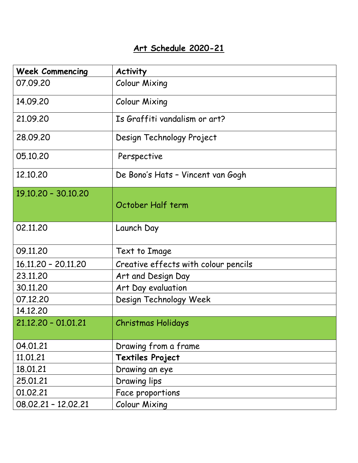## **Art Schedule 2020-21**

| <b>Week Commencing</b> | <b>Activity</b>                      |
|------------------------|--------------------------------------|
| 07.09.20               | Colour Mixing                        |
| 14.09.20               | Colour Mixing                        |
| 21.09.20               | Is Graffiti vandalism or art?        |
| 28.09.20               | Design Technology Project            |
| 05.10.20               | Perspective                          |
| 12.10.20               | De Bono's Hats - Vincent van Gogh    |
| 19.10.20 - 30.10.20    | October Half term                    |
| 02.11.20               | Launch Day                           |
| 09.11.20               | Text to Image                        |
| 16.11.20 - 20.11.20    | Creative effects with colour pencils |
| 23.11.20               | Art and Design Day                   |
| 30.11.20               | Art Day evaluation                   |
| 07.12.20               | Design Technology Week               |
| 14.12.20               |                                      |
| 21.12.20 - 01.01.21    | <b>Christmas Holidays</b>            |
| 04.01.21               | Drawing from a frame                 |
| 11.01.21               | <b>Textiles Project</b>              |
| 18.01.21               | Drawing an eye                       |
| 25.01.21               | Drawing lips                         |
| 01.02.21               | Face proportions                     |
| 08.02.21 - 12.02.21    | <b>Colour Mixing</b>                 |